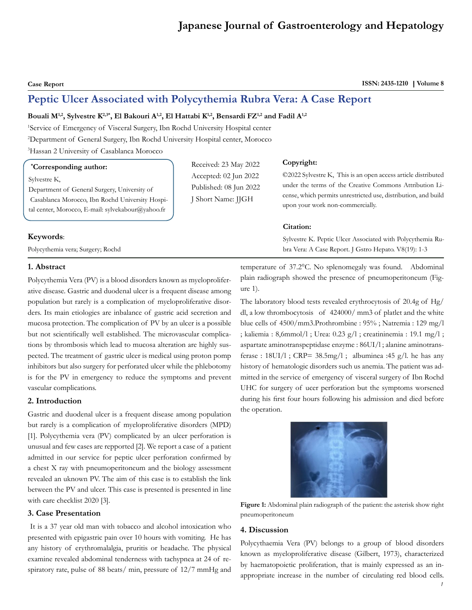# **Japanese Journal of Gastroenterology and Hepatology**

**Case Report** ISSN: 2435-1210 | Volume 8

# **Peptic Ulcer Associated with Polycythemia Rubra Vera: A Case Report**

# Bouali M<sup>1,2</sup>, Sylvestre K<sup>2,3\*</sup>, El Bakouri A<sup>1,2</sup>, El Hattabi K<sup>1,2</sup>, Bensardi FZ<sup>1,2</sup> and Fadil A<sup>1,2</sup>

1 Service of Emergency of Visceral Surgery, Ibn Rochd University Hospital center 2 Department of General Surgery, Ibn Rochd University Hospital center, Morocco 3 Hassan 2 University of Casablanca Morocco

### **\* Corresponding author:**

Sylvestre K,

Department of General Surgery, University of Casablanca Morocco, Ibn Rochd University Hospital center, Morocco, E-mail: sylvekabour@yahoo.fr

#### **Keywords**:

Polycythemia vera; Surgery; Rochd

## **1. Abstract**

Polycythemia Vera (PV) is a blood disorders known as myeloproliferative disease. Gastric and duodenal ulcer is a frequent disease among population but rarely is a complication of myeloproliferative disorders. Its main etiologies are inbalance of gastric acid secretion and mucosa protection. The complication of PV by an ulcer is a possible but not scientifically well established. The microvascular complications by thrombosis which lead to mucosa alteration are highly suspected. The treatment of gastric ulcer is medical using proton pomp inhibitors but also surgery for perforated ulcer while the phlebotomy is for the PV in emergency to reduce the symptoms and prevent vascular complications.

#### **2. Introduction**

Gastric and duodenal ulcer is a frequent disease among population but rarely is a complication of myeloproliferative disorders (MPD) [1]. Polycythemia vera (PV) complicated by an ulcer perforation is unusual and few cases are repported [2]. We report a case of a patient admitted in our service for peptic ulcer perforation confirmed by a chest X ray with pneumoperitoneum and the biology assessment revealed an uknown PV. The aim of this case is to establish the link between the PV and ulcer. This case is presented is presented in line with care checklist 2020 [3].

# **3. Case Presentation**

 It is a 37 year old man with tobacco and alcohol intoxication who presented with epigastric pain over 10 hours with vomiting. He has any history of erythromalalgia, pruritis or headache. The physical examine revealed abdominal tenderness with tachypnea at 24 of respiratory rate, pulse of 88 beats/ min, pressure of 12/7 mmHg and

Received: 23 May 2022 Accepted: 02 Jun 2022 Published: 08 Jun 2022 J Short Name: JJGH

#### **Copyright:**

©2022 Sylvestre K, This is an open access article distributed under the terms of the Creative Commons Attribution License, which permits unrestricted use, distribution, and build upon your work non-commercially.

#### **Citation:**

Sylvestre K. Peptic Ulcer Associated with Polycythemia Rubra Vera: A Case Report. J Gstro Hepato. V8(19): 1-3

temperature of 37.2°C. No splenomegaly was found. Abdominal plain radiograph showed the presence of pneumoperitoneum (Figure 1).

The laboratory blood tests revealed erythrocytosis of 20.4g of Hg/ dl, a low thrombocytosis of 424000/ mm3 of platlet and the white blue cells of 4500/mm3.Prothrombine : 95% ; Natremia : 129 mg/l ; kaliemia : 8,6mmol/l ; Urea: 0.23 g/l ; creatininemia : 19.1 mg/l ; aspartate aminotranspeptidase enzyme : 86UI/l ; alanine aminotransferase :  $18UI/1$ ; CRP=  $38.5mg/1$ ; albuminea :  $45 g/l$ . he has any history of hematologic disorders such us anemia. The patient was admitted in the service of emergency of visceral surgery of Ibn Rochd UHC for surgery of ucer perforation but the symptoms worsened during his first four hours following his admission and died before the operation.



**Figure 1:** Abdominal plain radiograph of the patient: the asterisk show right pneumoperitoneum

#### **4. Discussion**

Polycythaemia Vera (PV) belongs to a group of blood disorders known as myeloproliferative disease (Gilbert, 1973), characterized by haematopoietic proliferation, that is mainly expressed as an inappropriate increase in the number of circulating red blood cells.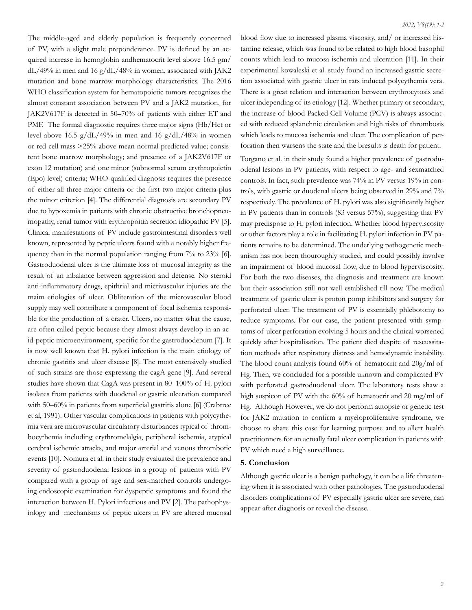The middle-aged and elderly population is frequently concerned of PV, with a slight male preponderance. PV is defined by an acquired increase in hemoglobin andhematocrit level above 16.5 gm/ dL/49% in men and 16 g/dL/48% in women, associated with JAK2 mutation and bone marrow morphology characteristics. The 2016 WHO classification system for hematopoietic tumors recognizes the almost constant association between PV and a JAK2 mutation, for JAK2V617F is detected in 50–70% of patients with either ET and PMF. The formal diagnostic requires three major signs (Hb/Hct or level above 16.5 g/dL/49% in men and 16 g/dL/48% in women or red cell mass >25% above mean normal predicted value; consistent bone marrow morphology; and presence of a JAK2V617F or exon 12 mutation) and one minor (subnormal serum erythropoietin (Epo) level) criteria; WHO-qualified diagnosis requires the presence of either all three major criteria or the first two major criteria plus the minor criterion [4]. The differential diagnosis are secondary PV due to hypoxemia in patients with chronic obstructive bronchopneumopathy, renal tumor with erythropoitin secretion idiopathic PV [5]. Clinical manifestations of PV include gastrointestinal disorders well known, represented by peptic ulcers found with a notably higher frequency than in the normal population ranging from 7% to 23% [6]. Gastroduodenal ulcer is the ultimate loss of mucosal integrity as the result of an inbalance between aggression and defense. No steroid anti-inflammatory drugs, epithrial and micrivascular injuries are the maim etiologies of ulcer. Obliteration of the microvascular blood supply may well contribute a component of focal ischemia responsible for the production of a crater. Ulcers, no matter what the cause, are often called peptic because they almost always develop in an acid-peptic microenvironment, specific for the gastroduodenum [7]. It is now well known that H. pylori infection is the main etiology of chronic gastritis and ulcer disease [8]. The most extensively studied of such strains are those expressing the cagA gene [9]. And several studies have shown that CagA was present in 80–100% of H. pylori isolates from patients with duodenal or gastric ulceration compared with 50–60% in patients from superficial gastritis alone [6] (Crabtree et al, 1991). Other vascular complications in patients with polycythemia vera are microvascular circulatory disturbances typical of thrombocythemia including erythromelalgia, peripheral ischemia, atypical cerebral ischemic attacks, and major arterial and venous thrombotic events [10]. Nomura et al. in their study evaluated the prevalence and severity of gastroduodenal lesions in a group of patients with PV compared with a group of age and sex-matched controls undergoing endoscopic examination for dyspeptic symptoms and found the interaction between H. Pylori infectious and PV [2]. The pathophysiology and mechanisms of peptic ulcers in PV are altered mucosal

blood flow due to increased plasma viscosity, and/ or increased histamine release, which was found to be related to high blood basophil counts which lead to mucosa ischemia and ulceration [11]. In their experimental kowaleski et al. study found an increased gastric secretion associated with gastric ulcer in rats induced polycythemia vera. There is a great relation and interaction between erythrocytosis and ulcer independing of its etiology [12]. Whether primary or secondary, the increase of blood Packed Cell Volume (PCV) is always associated with reduced splanchnic circulation and high risks of thrombosis which leads to mucosa ischemia and ulcer. The complication of perforation then warsens the state and the bresults is death for patient.

Torgano et al. in their study found a higher prevalence of gastroduodenal lesions in PV patients, with respect to age- and sexmatched controls. In fact, such prevalence was 74% in PV versus 19% in controls, with gastric or duodenal ulcers being observed in 29% and 7% respectively. The prevalence of H. pylori was also significantly higher in PV patients than in controls (83 versus 57%), suggesting that PV may predispose to H. pylori infection. Whether blood hyperviscosity or other factors play a role in facilitating H. pylori infection in PV patients remains to be determined. The underlying pathogenetic mechanism has not been thouroughly studied, and could possibly involve an impairment of blood mucosal flow, due to blood hyperviscosity. For both the two diseases, the diagnosis and treatment are known but their association still not well established till now. The medical treatment of gastric ulcer is proton pomp inhibitors and surgery for perforated ulcer. The treatment of PV is essentially phlebotomy to reduce symptoms. For our case, the patient presented with symptoms of ulcer perforation evolving 5 hours and the clinical worsened quickly after hospitalisation. The patient died despite of rescussitation methods after respiratory distress and hemodynamic instability. The blood count analysis found 60% of hematocrit and 20g/ml of Hg. Then, we concluded for a possible uknown and complicated PV with perforated gastroduodenal ulcer. The laboratory tests shaw a high suspicon of PV with the 60% of hematocrit and 20 mg/ml of Hg. Although However, we do not perform autopsie or genetic test for JAK2 mutation to confirm a myeloproliferative syndrome, we choose to share this case for learning purpose and to allert health practitionners for an actually fatal ulcer complication in patients with PV which need a high surveillance.

#### **5. Conclusion**

Although gastric ulcer is a benign pathology, it can be a life threatening when it is associated with other pathologies. The gastroduodenal disorders complications of PV especially gastric ulcer are severe, can appear after diagnosis or reveal the disease.